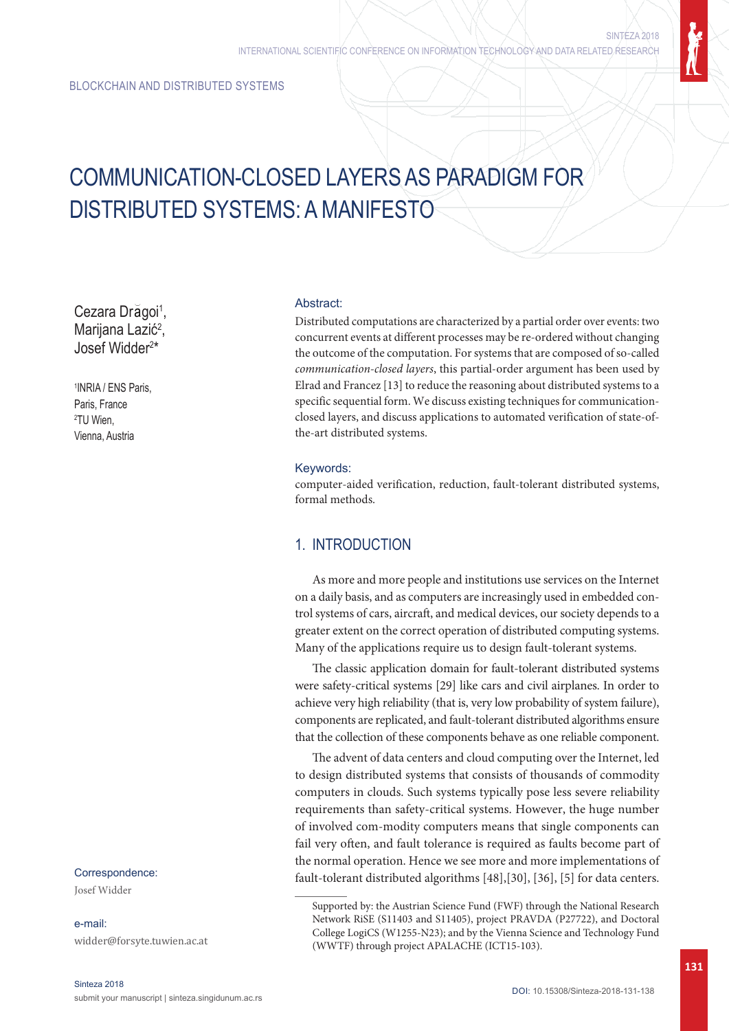# COMMUNICATION-CLOSED LAYERS AS PARADIGM FOR DISTRIBUTED SYSTEMS: A MANIFESTO

Cezara Drăgoi<sup>1</sup>, Marijana Lazić<sup>2</sup>, Josef Widder2 \*

1 INRIA / ENS Paris, Paris, France 2 TU Wien, Vienna, Austria

## Correspondence:

Josef Widder

e-mail: widder@forsyte.tuwien.ac.at

#### Abstract:

Distributed computations are characterized by a partial order over events: two concurrent events at different processes may be re-ordered without changing the outcome of the computation. For systems that are composed of so-called *communication-closed layers*, this partial-order argument has been used by Elrad and Francez [13] to reduce the reasoning about distributed systems to a specific sequential form. We discuss existing techniques for communicationclosed layers, and discuss applications to automated verification of state-ofthe-art distributed systems.

#### Keywords:

computer-aided verification, reduction, fault-tolerant distributed systems, formal methods.

## 1. INTRODUCTION

As more and more people and institutions use services on the Internet on a daily basis, and as computers are increasingly used in embedded control systems of cars, aircraft, and medical devices, our society depends to a greater extent on the correct operation of distributed computing systems. Many of the applications require us to design fault-tolerant systems.

The classic application domain for fault-tolerant distributed systems were safety-critical systems [29] like cars and civil airplanes. In order to achieve very high reliability (that is, very low probability of system failure), components are replicated, and fault-tolerant distributed algorithms ensure that the collection of these components behave as one reliable component.

The advent of data centers and cloud computing over the Internet, led to design distributed systems that consists of thousands of commodity computers in clouds. Such systems typically pose less severe reliability requirements than safety-critical systems. However, the huge number of involved com-modity computers means that single components can fail very often, and fault tolerance is required as faults become part of the normal operation. Hence we see more and more implementations of fault-tolerant distributed algorithms [48],[30], [36], [5] for data centers.

Supported by: the Austrian Science Fund (FWF) through the National Research Network RiSE (S11403 and S11405), project PRAVDA (P27722), and Doctoral College LogiCS (W1255-N23); and by the Vienna Science and Technology Fund (WWTF) through project APALACHE (ICT15-103).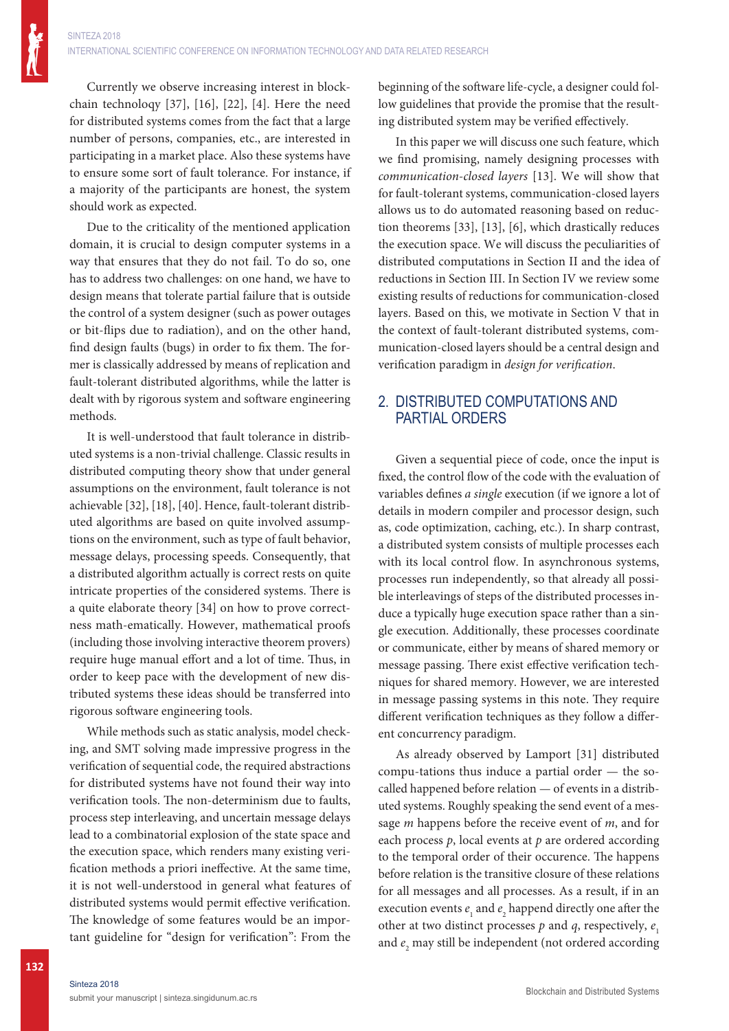Currently we observe increasing interest in blockchain technoloqy [37], [16], [22], [4]. Here the need for distributed systems comes from the fact that a large number of persons, companies, etc., are interested in participating in a market place. Also these systems have to ensure some sort of fault tolerance. For instance, if a majority of the participants are honest, the system should work as expected.

Due to the criticality of the mentioned application domain, it is crucial to design computer systems in a way that ensures that they do not fail. To do so, one has to address two challenges: on one hand, we have to design means that tolerate partial failure that is outside the control of a system designer (such as power outages or bit-flips due to radiation), and on the other hand, find design faults (bugs) in order to fix them. The former is classically addressed by means of replication and fault-tolerant distributed algorithms, while the latter is dealt with by rigorous system and software engineering methods.

It is well-understood that fault tolerance in distributed systems is a non-trivial challenge. Classic results in distributed computing theory show that under general assumptions on the environment, fault tolerance is not achievable [32], [18], [40]. Hence, fault-tolerant distributed algorithms are based on quite involved assumptions on the environment, such as type of fault behavior, message delays, processing speeds. Consequently, that a distributed algorithm actually is correct rests on quite intricate properties of the considered systems. There is a quite elaborate theory [34] on how to prove correctness math-ematically. However, mathematical proofs (including those involving interactive theorem provers) require huge manual effort and a lot of time. Thus, in order to keep pace with the development of new distributed systems these ideas should be transferred into rigorous software engineering tools.

While methods such as static analysis, model checking, and SMT solving made impressive progress in the verification of sequential code, the required abstractions for distributed systems have not found their way into verification tools. The non-determinism due to faults, process step interleaving, and uncertain message delays lead to a combinatorial explosion of the state space and the execution space, which renders many existing verification methods a priori ineffective. At the same time, it is not well-understood in general what features of distributed systems would permit effective verification. The knowledge of some features would be an important guideline for "design for verification": From the

beginning of the software life-cycle, a designer could follow guidelines that provide the promise that the resulting distributed system may be verified effectively.

In this paper we will discuss one such feature, which we find promising, namely designing processes with *communication-closed layers* [13]. We will show that for fault-tolerant systems, communication-closed layers allows us to do automated reasoning based on reduction theorems [33], [13], [6], which drastically reduces the execution space. We will discuss the peculiarities of distributed computations in Section II and the idea of reductions in Section III. In Section IV we review some existing results of reductions for communication-closed layers. Based on this, we motivate in Section V that in the context of fault-tolerant distributed systems, communication-closed layers should be a central design and verification paradigm in *design for verification*.

## 2. DISTRIBUTED COMPUTATIONS AND PARTIAL ORDERS

Given a sequential piece of code, once the input is fixed, the control flow of the code with the evaluation of variables defines *a single* execution (if we ignore a lot of details in modern compiler and processor design, such as, code optimization, caching, etc.). In sharp contrast, a distributed system consists of multiple processes each with its local control flow. In asynchronous systems, processes run independently, so that already all possible interleavings of steps of the distributed processes induce a typically huge execution space rather than a single execution. Additionally, these processes coordinate or communicate, either by means of shared memory or message passing. There exist effective verification techniques for shared memory. However, we are interested in message passing systems in this note. They require different verification techniques as they follow a different concurrency paradigm.

As already observed by Lamport [31] distributed compu-tations thus induce a partial order — the socalled happened before relation — of events in a distributed systems. Roughly speaking the send event of a message *m* happens before the receive event of *m*, and for each process *p*, local events at *p* are ordered according to the temporal order of their occurence. The happens before relation is the transitive closure of these relations for all messages and all processes. As a result, if in an execution events  $e_1$  and  $e_2$  happend directly one after the other at two distinct processes  $p$  and  $q$ , respectively,  $e_1$ and  $e_2$  may still be independent (not ordered according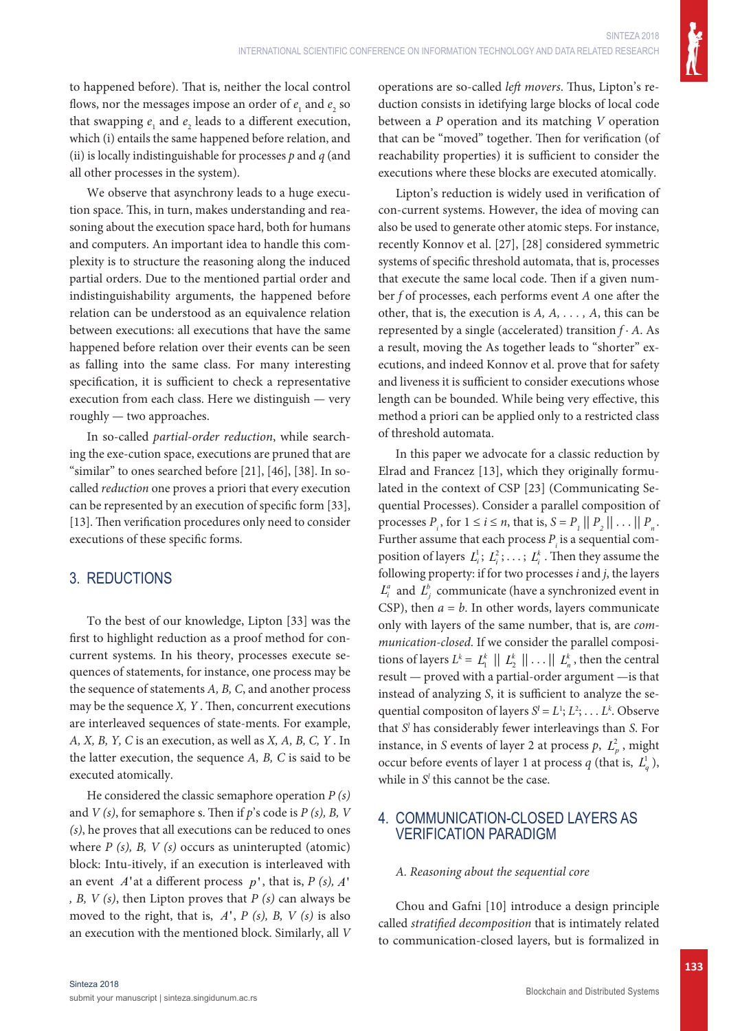to happened before). That is, neither the local control flows, nor the messages impose an order of  $e_1$  and  $e_2$  so that swapping  $e_1$  and  $e_2$  leads to a different execution, which (i) entails the same happened before relation, and (ii) is locally indistinguishable for processes *p* and *q* (and all other processes in the system).

We observe that asynchrony leads to a huge execution space. This, in turn, makes understanding and reasoning about the execution space hard, both for humans and computers. An important idea to handle this complexity is to structure the reasoning along the induced partial orders. Due to the mentioned partial order and indistinguishability arguments, the happened before relation can be understood as an equivalence relation between executions: all executions that have the same happened before relation over their events can be seen as falling into the same class. For many interesting specification, it is sufficient to check a representative execution from each class. Here we distinguish — very roughly — two approaches.

In so-called *partial-order reduction*, while searching the exe-cution space, executions are pruned that are "similar" to ones searched before [21], [46], [38]. In socalled *reduction* one proves a priori that every execution can be represented by an execution of specific form [33], [13]. Then verification procedures only need to consider executions of these specific forms.

# 3. REDUCTIONS

To the best of our knowledge, Lipton [33] was the first to highlight reduction as a proof method for concurrent systems. In his theory, processes execute sequences of statements, for instance, one process may be the sequence of statements *A, B, C*, and another process may be the sequence *X, Y* . Then, concurrent executions are interleaved sequences of state-ments. For example, *A, X, B, Y, C* is an execution, as well as *X, A, B, C, Y* . In the latter execution, the sequence *A, B, C* is said to be executed atomically.

He considered the classic semaphore operation *P (s)* and *V (s)*, for semaphore s. Then if *p*'s code is *P (s), B, V (s)*, he proves that all executions can be reduced to ones where *P (s), B, V (s)* occurs as uninterupted (atomic) block: Intu-itively, if an execution is interleaved with an event *A*'at a different process *p* ' , that is, *P (s), A*' *, B, V (s)*, then Lipton proves that *P (s)* can always be moved to the right, that is, *A*', *P (s), B, V (s)* is also an execution with the mentioned block. Similarly, all *V* operations are so-called *left movers*. Thus, Lipton's reduction consists in idetifying large blocks of local code between a *P* operation and its matching *V* operation that can be "moved" together. Then for verification (of reachability properties) it is sufficient to consider the executions where these blocks are executed atomically.

Lipton's reduction is widely used in verification of con-current systems. However, the idea of moving can also be used to generate other atomic steps. For instance, recently Konnov et al. [27], [28] considered symmetric systems of specific threshold automata, that is, processes that execute the same local code. Then if a given number *f* of processes, each performs event *A* one after the other, that is, the execution is *A, A, . . . , A*, this can be represented by a single (accelerated) transition *f* · *A*. As a result, moving the As together leads to "shorter" executions, and indeed Konnov et al. prove that for safety and liveness it is sufficient to consider executions whose length can be bounded. While being very effective, this method a priori can be applied only to a restricted class of threshold automata.

In this paper we advocate for a classic reduction by Elrad and Francez [13], which they originally formulated in the context of CSP [23] (Communicating Sequential Processes). Consider a parallel composition of processes  $P_i$ , for  $1 \le i \le n$ , that is,  $S = P_i || P_2 || \dots || P_n$ . Further assume that each process  $P_i$  is a sequential composition of layers  $L_i^1$ ;  $L_i^2$ ; ...;  $L_i^k$ . Then they assume the following property: if for two processes *i* and *j*, the layers  $L_i^a$  and  $L_i^b$  communicate (have a synchronized event in CSP), then  $a = b$ . In other words, layers communicate only with layers of the same number, that is, are *communication-closed*. If we consider the parallel compositions of layers  $L^k = L_1^k \mid || L_2^k || \dots || L_n^k$ , then the central result — proved with a partial-order argument —is that instead of analyzing *S*, it is sufficient to analyze the sequential compositon of layers  $S^l = L^1; L^2; \ldots L^k$ . Observe that *Sl* has considerably fewer interleavings than *S*. For instance, in *S* events of layer 2 at process  $p$ ,  $L_n^2$ , might occur before events of layer 1 at process  $q$  (that is,  $L_q^1$ ), while in  $S<sup>l</sup>$  this cannot be the case.

## 4. COMMUNICATION-CLOSED LAYERS AS VERIFICATION PARADIGM

### *A. Reasoning about the sequential core*

Chou and Gafni [10] introduce a design principle called *stratified decomposition* that is intimately related to communication-closed layers, but is formalized in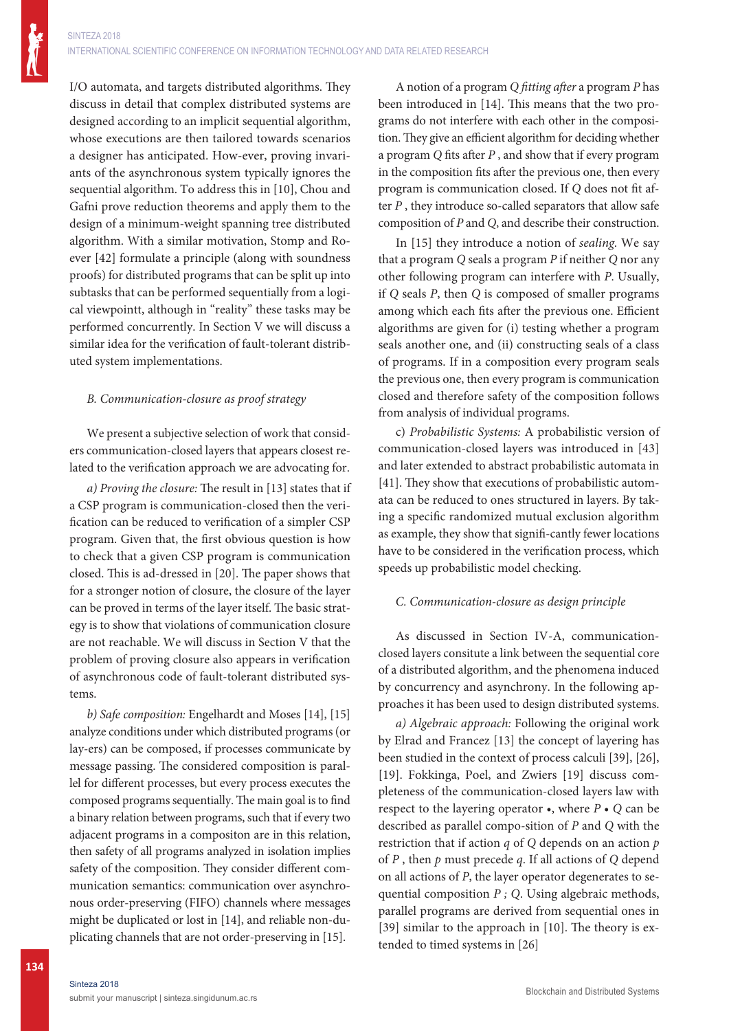I/O automata, and targets distributed algorithms. They discuss in detail that complex distributed systems are designed according to an implicit sequential algorithm, whose executions are then tailored towards scenarios a designer has anticipated. How-ever, proving invariants of the asynchronous system typically ignores the sequential algorithm. To address this in [10], Chou and Gafni prove reduction theorems and apply them to the design of a minimum-weight spanning tree distributed algorithm. With a similar motivation, Stomp and Roever [42] formulate a principle (along with soundness proofs) for distributed programs that can be split up into subtasks that can be performed sequentially from a logical viewpointt, although in "reality" these tasks may be performed concurrently. In Section V we will discuss a similar idea for the verification of fault-tolerant distributed system implementations.

#### *B. Communication-closure as proof strategy*

We present a subjective selection of work that considers communication-closed layers that appears closest related to the verification approach we are advocating for.

*a) Proving the closure:* The result in [13] states that if a CSP program is communication-closed then the verification can be reduced to verification of a simpler CSP program. Given that, the first obvious question is how to check that a given CSP program is communication closed. This is ad-dressed in [20]. The paper shows that for a stronger notion of closure, the closure of the layer can be proved in terms of the layer itself. The basic strategy is to show that violations of communication closure are not reachable. We will discuss in Section V that the problem of proving closure also appears in verification of asynchronous code of fault-tolerant distributed systems.

*b) Safe composition:* Engelhardt and Moses [14], [15] analyze conditions under which distributed programs (or lay-ers) can be composed, if processes communicate by message passing. The considered composition is parallel for different processes, but every process executes the composed programs sequentially. The main goal is to find a binary relation between programs, such that if every two adjacent programs in a compositon are in this relation, then safety of all programs analyzed in isolation implies safety of the composition. They consider different communication semantics: communication over asynchronous order-preserving (FIFO) channels where messages might be duplicated or lost in [14], and reliable non-duplicating channels that are not order-preserving in [15].

A notion of a program *Q fitting after* a program *P* has been introduced in [14]. This means that the two programs do not interfere with each other in the composition. They give an efficient algorithm for deciding whether a program *Q* fits after *P* , and show that if every program in the composition fits after the previous one, then every program is communication closed. If *Q* does not fit after *P* , they introduce so-called separators that allow safe composition of *P* and *Q*, and describe their construction.

In [15] they introduce a notion of *sealing*. We say that a program *Q* seals a program *P* if neither *Q* nor any other following program can interfere with *P*. Usually, if *Q* seals *P*, then *Q* is composed of smaller programs among which each fits after the previous one. Efficient algorithms are given for (i) testing whether a program seals another one, and (ii) constructing seals of a class of programs. If in a composition every program seals the previous one, then every program is communication closed and therefore safety of the composition follows from analysis of individual programs.

c) *Probabilistic Systems:* A probabilistic version of communication-closed layers was introduced in [43] and later extended to abstract probabilistic automata in [41]. They show that executions of probabilistic automata can be reduced to ones structured in layers. By taking a specific randomized mutual exclusion algorithm as example, they show that signifi-cantly fewer locations have to be considered in the verification process, which speeds up probabilistic model checking.

### *C. Communication-closure as design principle*

As discussed in Section IV-A, communicationclosed layers consitute a link between the sequential core of a distributed algorithm, and the phenomena induced by concurrency and asynchrony. In the following approaches it has been used to design distributed systems.

*a) Algebraic approach:* Following the original work by Elrad and Francez [13] the concept of layering has been studied in the context of process calculi [39], [26], [19]. Fokkinga, Poel, and Zwiers [19] discuss completeness of the communication-closed layers law with respect to the layering operator •, where *P* • *Q* can be described as parallel compo-sition of *P* and *Q* with the restriction that if action *q* of *Q* depends on an action *p*  of *P* , then *p* must precede *q*. If all actions of *Q* depend on all actions of *P*, the layer operator degenerates to sequential composition *P ; Q*. Using algebraic methods, parallel programs are derived from sequential ones in [39] similar to the approach in [10]. The theory is extended to timed systems in [26]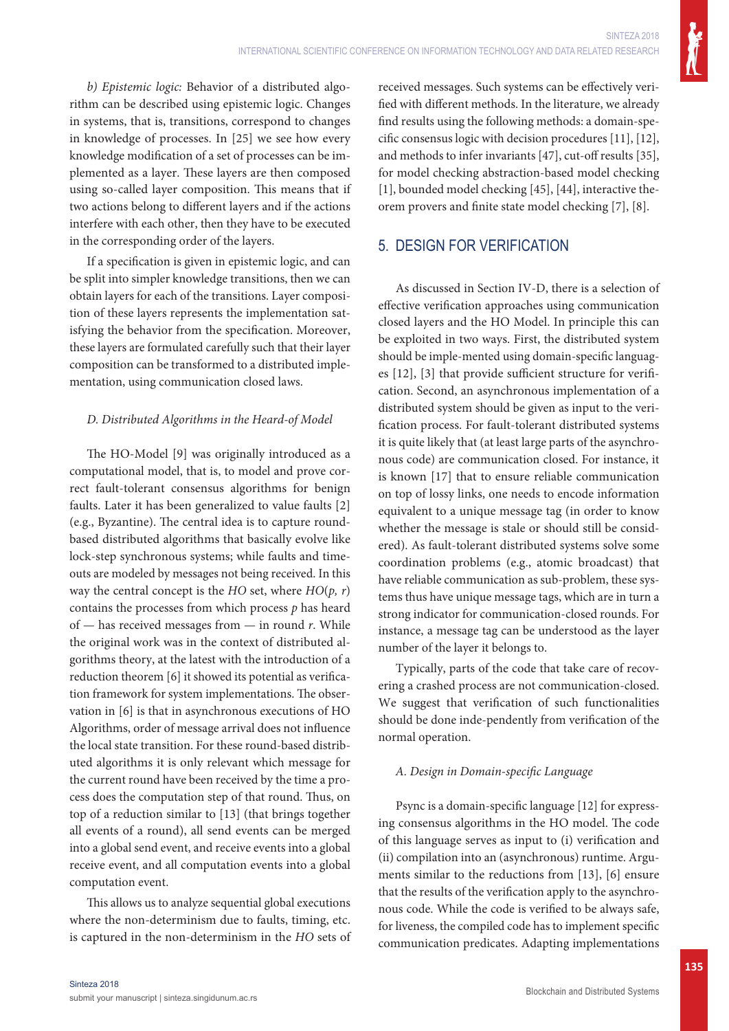*b) Epistemic logic:* Behavior of a distributed algorithm can be described using epistemic logic. Changes in systems, that is, transitions, correspond to changes in knowledge of processes. In [25] we see how every knowledge modification of a set of processes can be implemented as a layer. These layers are then composed using so-called layer composition. This means that if two actions belong to different layers and if the actions interfere with each other, then they have to be executed in the corresponding order of the layers.

If a specification is given in epistemic logic, and can be split into simpler knowledge transitions, then we can obtain layers for each of the transitions. Layer composition of these layers represents the implementation satisfying the behavior from the specification. Moreover, these layers are formulated carefully such that their layer composition can be transformed to a distributed implementation, using communication closed laws.

### *D. Distributed Algorithms in the Heard-of Model*

The HO-Model [9] was originally introduced as a computational model, that is, to model and prove correct fault-tolerant consensus algorithms for benign faults. Later it has been generalized to value faults [2] (e.g., Byzantine). The central idea is to capture roundbased distributed algorithms that basically evolve like lock-step synchronous systems; while faults and timeouts are modeled by messages not being received. In this way the central concept is the *HO* set, where *HO*(*p, r*) contains the processes from which process *p* has heard of — has received messages from — in round *r*. While the original work was in the context of distributed algorithms theory, at the latest with the introduction of a reduction theorem [6] it showed its potential as verification framework for system implementations. The observation in [6] is that in asynchronous executions of HO Algorithms, order of message arrival does not influence the local state transition. For these round-based distributed algorithms it is only relevant which message for the current round have been received by the time a process does the computation step of that round. Thus, on top of a reduction similar to [13] (that brings together all events of a round), all send events can be merged into a global send event, and receive events into a global receive event, and all computation events into a global computation event.

This allows us to analyze sequential global executions where the non-determinism due to faults, timing, etc. is captured in the non-determinism in the *HO* sets of received messages. Such systems can be effectively verified with different methods. In the literature, we already find results using the following methods: a domain-specific consensus logic with decision procedures [11], [12], and methods to infer invariants [47], cut-off results [35], for model checking abstraction-based model checking [1], bounded model checking [45], [44], interactive theorem provers and finite state model checking [7], [8].

## 5. DESIGN FOR VERIFICATION

As discussed in Section IV-D, there is a selection of effective verification approaches using communication closed layers and the HO Model. In principle this can be exploited in two ways. First, the distributed system should be imple-mented using domain-specific languages [12], [3] that provide sufficient structure for verification. Second, an asynchronous implementation of a distributed system should be given as input to the verification process. For fault-tolerant distributed systems it is quite likely that (at least large parts of the asynchronous code) are communication closed. For instance, it is known [17] that to ensure reliable communication on top of lossy links, one needs to encode information equivalent to a unique message tag (in order to know whether the message is stale or should still be considered). As fault-tolerant distributed systems solve some coordination problems (e.g., atomic broadcast) that have reliable communication as sub-problem, these systems thus have unique message tags, which are in turn a strong indicator for communication-closed rounds. For instance, a message tag can be understood as the layer number of the layer it belongs to.

Typically, parts of the code that take care of recovering a crashed process are not communication-closed. We suggest that verification of such functionalities should be done inde-pendently from verification of the normal operation.

### *A. Design in Domain-specific Language*

Psync is a domain-specific language [12] for expressing consensus algorithms in the HO model. The code of this language serves as input to (i) verification and (ii) compilation into an (asynchronous) runtime. Arguments similar to the reductions from [13], [6] ensure that the results of the verification apply to the asynchronous code. While the code is verified to be always safe, for liveness, the compiled code has to implement specific communication predicates. Adapting implementations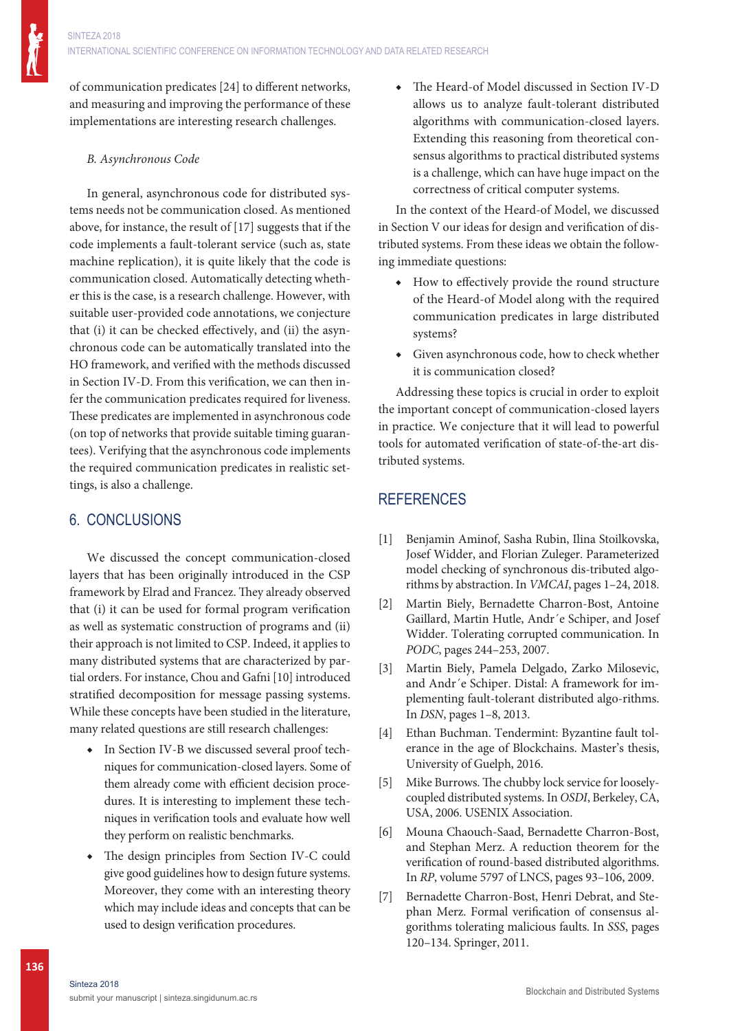of communication predicates [24] to different networks, and measuring and improving the performance of these implementations are interesting research challenges.

## *B. Asynchronous Code*

In general, asynchronous code for distributed systems needs not be communication closed. As mentioned above, for instance, the result of [17] suggests that if the code implements a fault-tolerant service (such as, state machine replication), it is quite likely that the code is communication closed. Automatically detecting whether this is the case, is a research challenge. However, with suitable user-provided code annotations, we conjecture that (i) it can be checked effectively, and (ii) the asynchronous code can be automatically translated into the HO framework, and verified with the methods discussed in Section IV-D. From this verification, we can then infer the communication predicates required for liveness. These predicates are implemented in asynchronous code (on top of networks that provide suitable timing guarantees). Verifying that the asynchronous code implements the required communication predicates in realistic settings, is also a challenge.

## 6. CONCLUSIONS

We discussed the concept communication-closed layers that has been originally introduced in the CSP framework by Elrad and Francez. They already observed that (i) it can be used for formal program verification as well as systematic construction of programs and (ii) their approach is not limited to CSP. Indeed, it applies to many distributed systems that are characterized by partial orders. For instance, Chou and Gafni [10] introduced stratified decomposition for message passing systems. While these concepts have been studied in the literature, many related questions are still research challenges:

- ◆ In Section IV-B we discussed several proof techniques for communication-closed layers. Some of them already come with efficient decision procedures. It is interesting to implement these techniques in verification tools and evaluate how well they perform on realistic benchmarks.
- ◆ The design principles from Section IV-C could give good guidelines how to design future systems. Moreover, they come with an interesting theory which may include ideas and concepts that can be used to design verification procedures.

The Heard-of Model discussed in Section IV-D allows us to analyze fault-tolerant distributed algorithms with communication-closed layers. Extending this reasoning from theoretical consensus algorithms to practical distributed systems is a challenge, which can have huge impact on the correctness of critical computer systems.

In the context of the Heard-of Model, we discussed in Section V our ideas for design and verification of distributed systems. From these ideas we obtain the following immediate questions:

- ◆ How to effectively provide the round structure of the Heard-of Model along with the required communication predicates in large distributed systems?
- ◆ Given asynchronous code, how to check whether it is communication closed?

Addressing these topics is crucial in order to exploit the important concept of communication-closed layers in practice. We conjecture that it will lead to powerful tools for automated verification of state-of-the-art distributed systems.

# **REFERENCES**

- [1] Benjamin Aminof, Sasha Rubin, Ilina Stoilkovska, Josef Widder, and Florian Zuleger. Parameterized model checking of synchronous dis-tributed algorithms by abstraction. In *VMCAI*, pages 1–24, 2018.
- [2] Martin Biely, Bernadette Charron-Bost, Antoine Gaillard, Martin Hutle, Andr´e Schiper, and Josef Widder. Tolerating corrupted communication. In *PODC*, pages 244–253, 2007.
- [3] Martin Biely, Pamela Delgado, Zarko Milosevic, and Andr´e Schiper. Distal: A framework for implementing fault-tolerant distributed algo-rithms. In *DSN*, pages 1–8, 2013.
- [4] Ethan Buchman. Tendermint: Byzantine fault tolerance in the age of Blockchains. Master's thesis, University of Guelph, 2016.
- [5] Mike Burrows. The chubby lock service for looselycoupled distributed systems. In *OSDI*, Berkeley, CA, USA, 2006. USENIX Association.
- [6] Mouna Chaouch-Saad, Bernadette Charron-Bost, and Stephan Merz. A reduction theorem for the verification of round-based distributed algorithms. In *RP*, volume 5797 of LNCS, pages 93–106, 2009.
- [7] Bernadette Charron-Bost, Henri Debrat, and Stephan Merz. Formal verification of consensus algorithms tolerating malicious faults. In *SSS*, pages 120–134. Springer, 2011.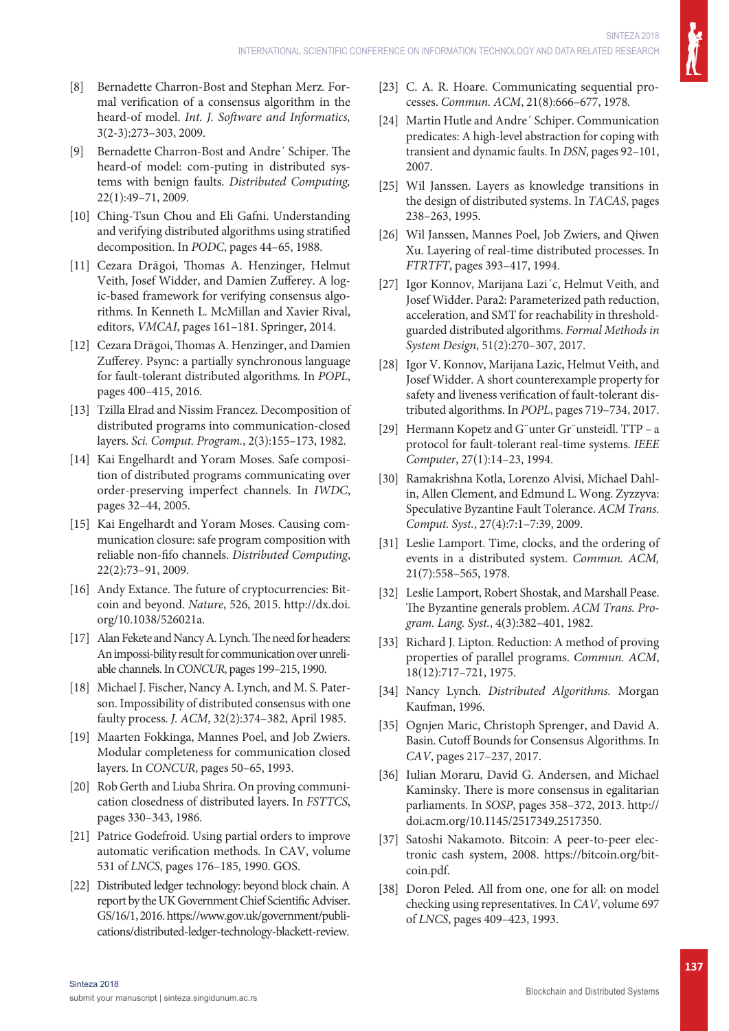- [8] Bernadette Charron-Bost and Stephan Merz. Formal verification of a consensus algorithm in the heard-of model. *Int. J. Software and Informatics,*  3(2-3):273–303, 2009.
- [9] Bernadette Charron-Bost and Andre´ Schiper. The heard-of model: com-puting in distributed systems with benign faults. *Distributed Computing,*  22(1):49–71, 2009.
- [10] Ching-Tsun Chou and Eli Gafni. Understanding and verifying distributed algorithms using stratified decomposition. In *PODC*, pages 44–65, 1988.
- [11] Cezara Dra goi, Thomas A. Henzinger, Helmut Veith, Josef Widder, and Damien Zufferey. A logic-based framework for verifying consensus algorithms. In Kenneth L. McMillan and Xavier Rival, editors, *VMCAI*, pages 161–181. Springer, 2014.
- [12] Cezara Drăgoi, Thomas A. Henzinger, and Damien Zufferey. Psync: a partially synchronous language for fault-tolerant distributed algorithms. In *POPL*, pages 400–415, 2016.
- [13] Tzilla Elrad and Nissim Francez. Decomposition of distributed programs into communication-closed layers. *Sci. Comput. Program.*, 2(3):155–173, 1982.
- [14] Kai Engelhardt and Yoram Moses. Safe composition of distributed programs communicating over order-preserving imperfect channels. In *IWDC*, pages 32–44, 2005.
- [15] Kai Engelhardt and Yoram Moses. Causing communication closure: safe program composition with reliable non-fifo channels. *Distributed Computing*, 22(2):73–91, 2009.
- [16] Andy Extance. The future of cryptocurrencies: Bitcoin and beyond. *Nature*, 526, 2015. http://dx.doi. org/10.1038/526021a.
- [17] Alan Fekete and Nancy A. Lynch. The need for headers: An impossi-bility result for communication over unreliable channels. In *CONCUR*, pages 199–215, 1990.
- [18] Michael J. Fischer, Nancy A. Lynch, and M. S. Paterson. Impossibility of distributed consensus with one faulty process. *J. ACM*, 32(2):374–382, April 1985.
- [19] Maarten Fokkinga, Mannes Poel, and Job Zwiers. Modular completeness for communication closed layers. In *CONCUR*, pages 50–65, 1993.
- [20] Rob Gerth and Liuba Shrira. On proving communication closedness of distributed layers. In *FSTTCS*, pages 330–343, 1986.
- [21] Patrice Godefroid. Using partial orders to improve automatic verification methods. In CAV, volume 531 of *LNCS*, pages 176–185, 1990. GOS.
- [22] Distributed ledger technology: beyond block chain. A report by the UK Government Chief Scientific Adviser. GS/16/1, 2016. https://www.gov.uk/government/publications/distributed-ledger-technology-blackett-review.
- [23] C. A. R. Hoare. Communicating sequential processes. *Commun. ACM*, 21(8):666-677, 1978.
- [24] Martin Hutle and Andre´ Schiper. Communication predicates: A high-level abstraction for coping with transient and dynamic faults. In *DSN*, pages 92–101, 2007.
- [25] Wil Janssen. Layers as knowledge transitions in the design of distributed systems. In *TACAS*, pages 238–263, 1995.
- [26] Wil Janssen, Mannes Poel, Job Zwiers, and Qiwen Xu. Layering of real-time distributed processes. In *FTRTFT*, pages 393–417, 1994.
- [27] Igor Konnov, Marijana Lazi´c, Helmut Veith, and Josef Widder. Para2: Parameterized path reduction, acceleration, and SMT for reachability in thresholdguarded distributed algorithms. *Formal Methods in System Design*, 51(2):270–307, 2017.
- [28] Igor V. Konnov, Marijana Lazic, Helmut Veith, and Josef Widder. A short counterexample property for safety and liveness verification of fault-tolerant distributed algorithms. In *POPL*, pages 719–734, 2017.
- [29] Hermann Kopetz and G"unter Gr"unsteidl. TTP a protocol for fault-tolerant real-time systems. *IEEE Computer*, 27(1):14–23, 1994.
- [30] Ramakrishna Kotla, Lorenzo Alvisi, Michael Dahlin, Allen Clement, and Edmund L. Wong. Zyzzyva: Speculative Byzantine Fault Tolerance. *ACM Trans. Comput. Syst.*, 27(4):7:1–7:39, 2009.
- [31] Leslie Lamport. Time, clocks, and the ordering of events in a distributed system. *Commun. ACM,*  21(7):558–565, 1978.
- [32] Leslie Lamport, Robert Shostak, and Marshall Pease. The Byzantine generals problem. *ACM Trans. Program. Lang. Syst.*, 4(3):382–401, 1982.
- [33] Richard J. Lipton. Reduction: A method of proving properties of parallel programs. *Commun. ACM*, 18(12):717–721, 1975.
- [34] Nancy Lynch. *Distributed Algorithms.* Morgan Kaufman, 1996.
- [35] Ognjen Maric, Christoph Sprenger, and David A. Basin. Cutoff Bounds for Consensus Algorithms. In *CAV*, pages 217–237, 2017.
- [36] Iulian Moraru, David G. Andersen, and Michael Kaminsky. There is more consensus in egalitarian parliaments. In *SOSP*, pages 358–372, 2013. http:// doi.acm.org/10.1145/2517349.2517350.
- [37] Satoshi Nakamoto. Bitcoin: A peer-to-peer electronic cash system, 2008. https://bitcoin.org/bitcoin.pdf.
- [38] Doron Peled. All from one, one for all: on model checking using representatives. In *CAV*, volume 697 of *LNCS*, pages 409–423, 1993.